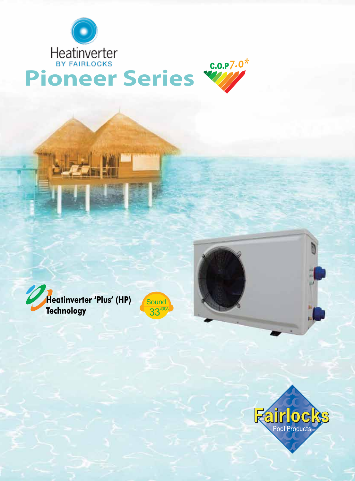



# Heatinverter<br> **Pioneer Series**



 $33<sup>d(B)A</sup>$ Heatinverter 'Plus' (HP) **Sound** 

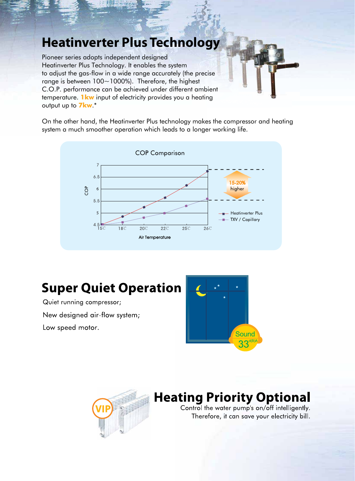#### **Heatinverter Plus Technology**

Pioneer series adopts independent designed Heatinverter Plus Technology. It enables the system to adjust the gas-flow in a wide range accurately (the precise range is between 100~1000%). Therefore, the highest C.O.P. performance can be achieved under different ambient temperature. **1kw** input of electricity provides you a heating output up to **7kw**.\*

On the other hand, the Heatinverter Plus technology makes the compressor and heating system a much smoother operation which leads to a longer working life.



### **Super Quiet Operation**

Quiet running compressor; New designed air-flow system; Low speed motor.





### **Heating Priority Optional**

Control the water pump's on/off intelligently. Therefore, it can save your electricity bill.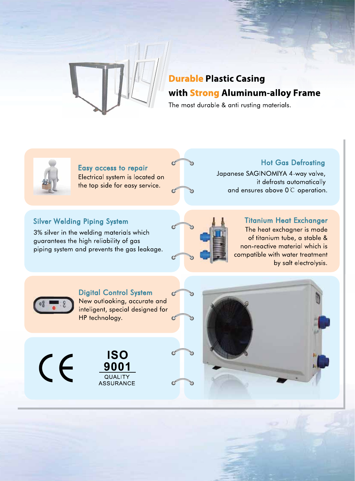

#### **Durable Plastic Casing** with **Strong Aluminum-alloy Frame**

The most durable & anti rusting materials.



Easy access to repair Electrical system is located on the top side for easy service.

**Hot Gas Defrosting** Japanese SAGINOMIYA 4-way valve, it defrosts automatically and ensures above 0 C operation.

#### **Silver Welding Piping System**

3% silver in the welding materials which guarantees the high reliability of gas piping system and prevents the gas leakage.



#### **Titanium Heat Exchanger** The heat exchagner is made of titanium tube, a stable & non-reactive material which is compatible with water treatment by salt electrolysis.